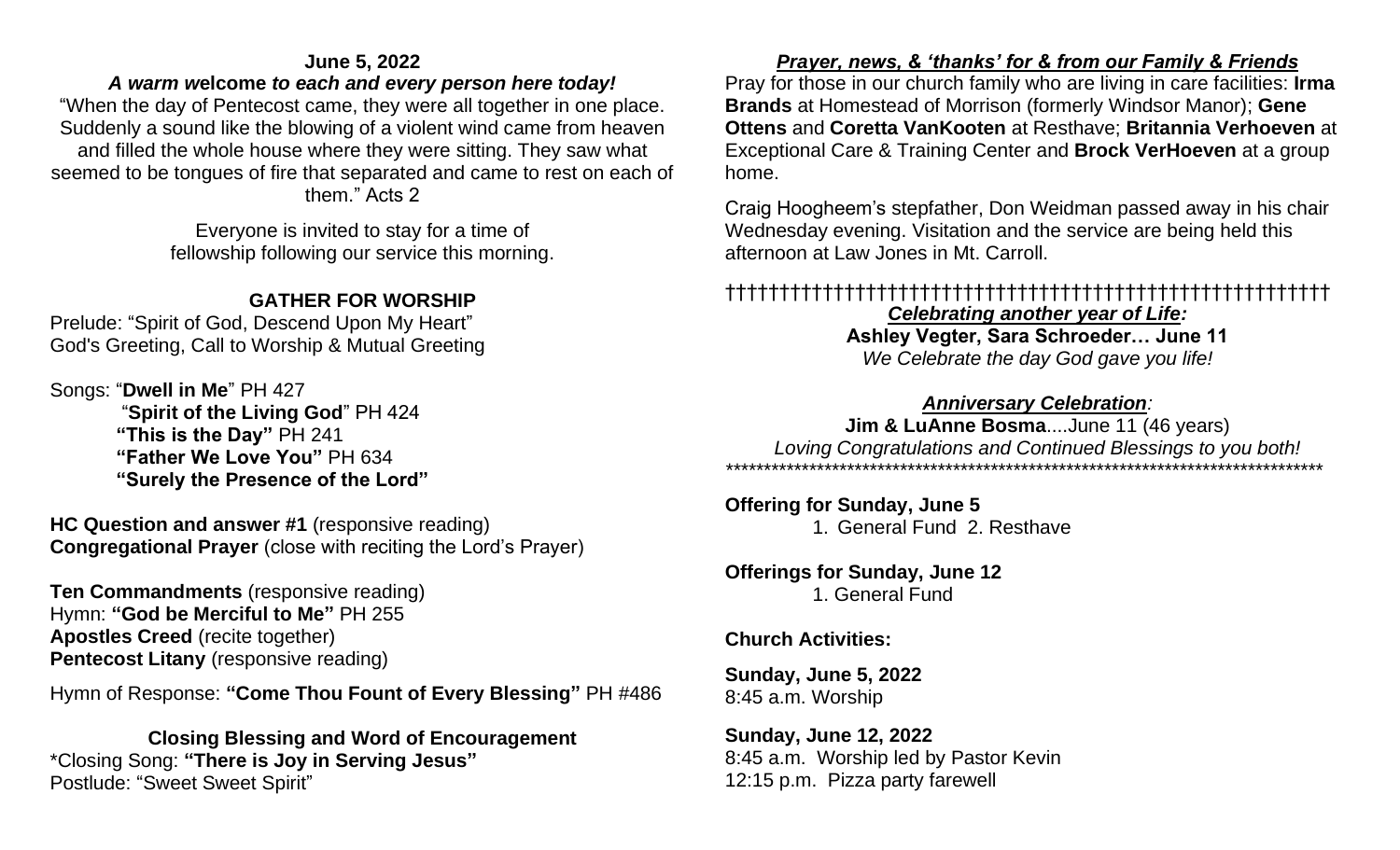### **June 5, 2022**

### *A warm w***elcome** *to each and every person here today!*

"When the day of Pentecost came, they were all together in one place. Suddenly a sound like the blowing of a violent wind came from heaven and filled the whole house where they were sitting. They saw what seemed to be tongues of fire that separated and came to rest on each of them." Acts 2

> Everyone is invited to stay for a time of fellowship following our service this morning.

## **GATHER FOR WORSHIP**

Prelude: "Spirit of God, Descend Upon My Heart" God's Greeting, Call to Worship & Mutual Greeting

Songs: "**Dwell in Me**" PH 427 "**Spirit of the Living God**" PH 424  **"This is the Day"** PH 241 **"Father We Love You"** PH 634 **"Surely the Presence of the Lord"**

**HC Question and answer #1** (responsive reading) **Congregational Prayer** (close with reciting the Lord's Prayer)

**Ten Commandments** (responsive reading) Hymn: **"God be Merciful to Me"** PH 255 **Apostles Creed** (recite together) **Pentecost Litany** (responsive reading)

Hymn of Response: **"Come Thou Fount of Every Blessing"** PH #486

**Closing Blessing and Word of Encouragement** \*Closing Song: **"There is Joy in Serving Jesus"** Postlude: "Sweet Sweet Spirit"

### *Prayer, news, & 'thanks' for & from our Family & Friends*

Pray for those in our church family who are living in care facilities: **Irma Brands** at Homestead of Morrison (formerly Windsor Manor); **Gene Ottens** and **Coretta VanKooten** at Resthave; **Britannia Verhoeven** at Exceptional Care & Training Center and **Brock VerHoeven** at a group home.

Craig Hoogheem's stepfather, Don Weidman passed away in his chair Wednesday evening. Visitation and the service are being held this afternoon at Law Jones in Mt. Carroll.

## ††††††††††††††††††††††††††††††††††††††††††††††††††††††††

*Celebrating another year of Life:*

**Ashley Vegter, Sara Schroeder… June 11**  *We Celebrate the day God gave you life!*

*Anniversary Celebration:*

**Jim & LuAnne Bosma**....June 11 (46 years) *Loving Congratulations and Continued Blessings to you both! \*\*\*\*\*\*\*\*\*\*\*\*\*\*\*\*\*\*\*\*\*\*\*\*\*\*\*\*\*\*\*\*\*\*\*\*\*\*\*\*\*\*\*\*\*\*\*\*\*\*\*\*\*\*\*\*\*\*\*\*\*\*\*\*\*\*\*\*\*\*\*\*\*\*\*\*\*\*\**

### **Offering for Sunday, June 5**

1. General Fund 2. Resthave

### **Offerings for Sunday, June 12** 1. General Fund

### **Church Activities:**

**Sunday, June 5, 2022** 8:45 a.m. Worship

**Sunday, June 12, 2022** 8:45 a.m. Worship led by Pastor Kevin 12:15 p.m. Pizza party farewell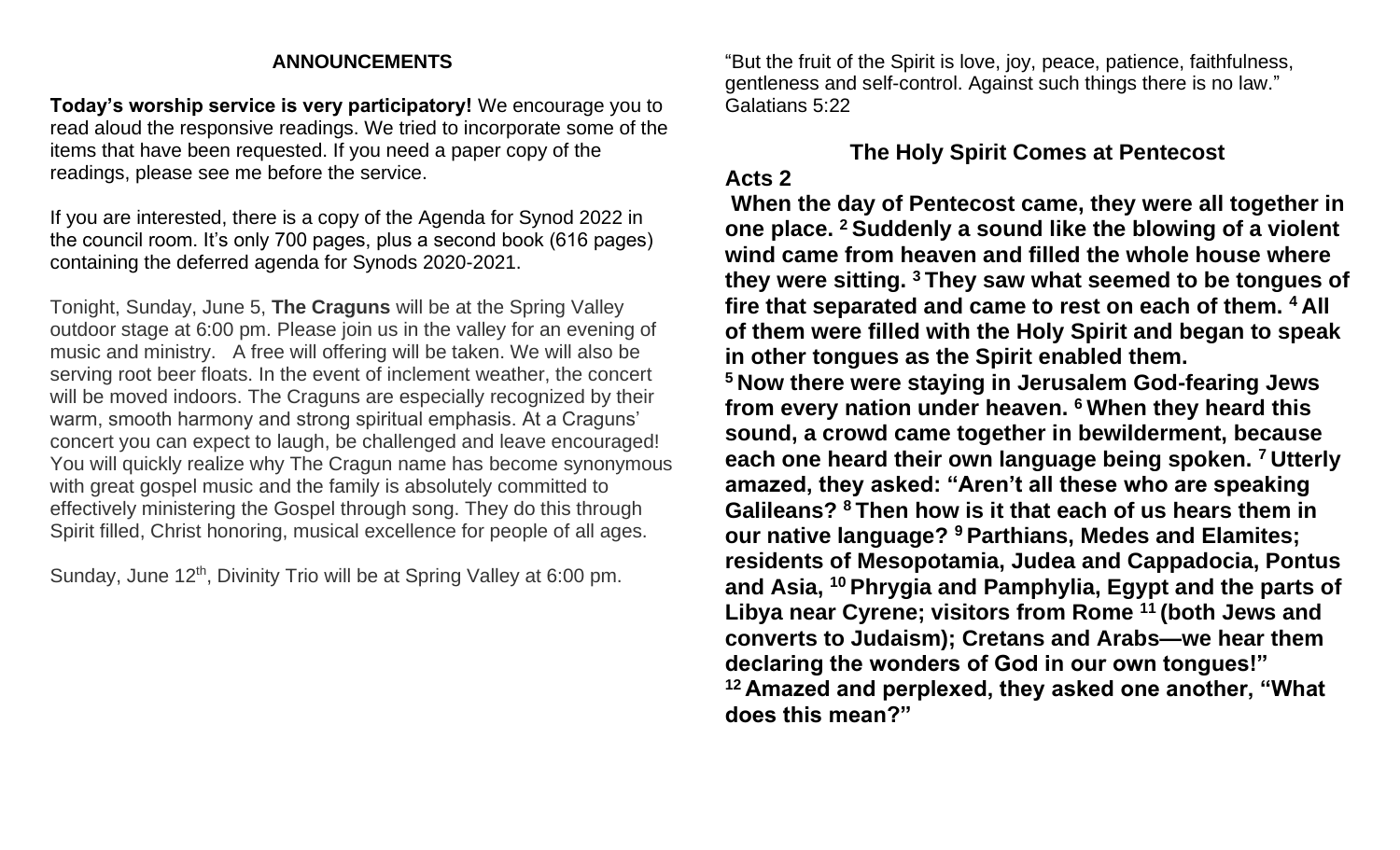#### **ANNOUNCEMENTS**

**Today's worship service is very participatory!** We encourage you to read aloud the responsive readings. We tried to incorporate some of the items that have been requested. If you need a paper copy of the readings, please see me before the service.

If you are interested, there is a copy of the Agenda for Synod 2022 in the council room. It's only 700 pages, plus a second book (616 pages) containing the deferred agenda for Synods 2020-2021.

Tonight, Sunday, June 5, **The Craguns** will be at the Spring Valley outdoor stage at 6:00 pm. Please join us in the valley for an evening of music and ministry. A free will offering will be taken. We will also be serving root beer floats. In the event of inclement weather, the concert will be moved indoors. The Craguns are especially recognized by their warm, smooth harmony and strong spiritual emphasis. At a Craguns' concert you can expect to laugh, be challenged and leave encouraged! You will quickly realize why The Cragun name has become synonymous with great gospel music and the family is absolutely committed to effectively ministering the Gospel through song. They do this through Spirit filled, Christ honoring, musical excellence for people of all ages.

Sunday, June 12<sup>th</sup>, Divinity Trio will be at Spring Valley at 6:00 pm.

"But the fruit of the Spirit is love, joy, peace, patience, faithfulness, gentleness and self-control. Against such things there is no law." Galatians 5:22

# **The Holy Spirit Comes at Pentecost**

### **Acts 2**

**When the day of Pentecost came, they were all together in one place. <sup>2</sup> Suddenly a sound like the blowing of a violent wind came from heaven and filled the whole house where they were sitting. <sup>3</sup> They saw what seemed to be tongues of fire that separated and came to rest on each of them. <sup>4</sup> All of them were filled with the Holy Spirit and began to speak in other tongues as the Spirit enabled them.**

**<sup>5</sup> Now there were staying in Jerusalem God-fearing Jews from every nation under heaven. <sup>6</sup> When they heard this sound, a crowd came together in bewilderment, because each one heard their own language being spoken. <sup>7</sup> Utterly amazed, they asked: "Aren't all these who are speaking Galileans? <sup>8</sup> Then how is it that each of us hears them in our native language? <sup>9</sup> Parthians, Medes and Elamites; residents of Mesopotamia, Judea and Cappadocia, Pontus and Asia, <sup>10</sup> Phrygia and Pamphylia, Egypt and the parts of Libya near Cyrene; visitors from Rome <sup>11</sup> (both Jews and converts to Judaism); Cretans and Arabs—we hear them declaring the wonders of God in our own tongues!" <sup>12</sup> Amazed and perplexed, they asked one another, "What does this mean?"**